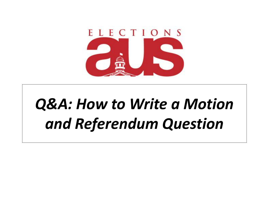

## *Q&A: How to Write a Motion and Referendum Question*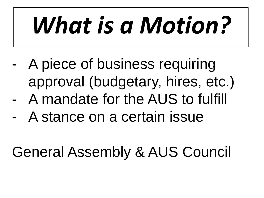# *What is a Motion?*

A piece of business requiring approval (budgetary, hires, etc.) - A mandate for the AUS to fulfill A stance on a certain issue

General Assembly & AUS Council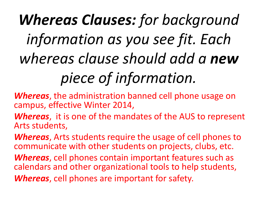## *Whereas Clauses: for background information as you see fit. Each whereas clause should add a new piece of information.*

*Whereas*, the administration banned cell phone usage on campus, effective Winter 2014,

*Whereas*, it is one of the mandates of the AUS to represent Arts students,

*Whereas*, Arts students require the usage of cell phones to communicate with other students on projects, clubs, etc. *Whereas*, cell phones contain important features such as calendars and other organizational tools to help students, *Whereas*, cell phones are important for safety.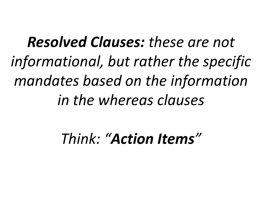*Resolved Clauses: these are not informational, but rather the specific mandates based on the information in the whereas clauses*

*Think: "Action Items"*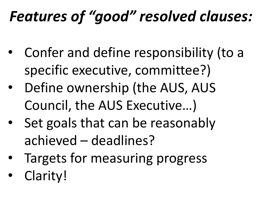#### *Features of "good" resolved clauses:*

- Confer and define responsibility (to a specific executive, committee?)
- Define ownership (the AUS, AUS Council, the AUS Executive…)
- Set goals that can be reasonably achieved – deadlines?
- Targets for measuring progress
- Clarity!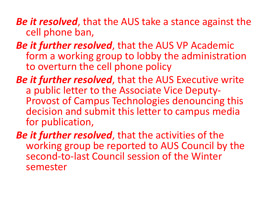*Be it resolved*, that the AUS take a stance against the cell phone ban,

- *Be it further resolved*, that the AUS VP Academic form a working group to lobby the administration to overturn the cell phone policy
- *Be it further resolved*, that the AUS Executive write a public letter to the Associate Vice Deputy-Provost of Campus Technologies denouncing this decision and submit this letter to campus media for publication,
- *Be it further resolved*, that the activities of the working group be reported to AUS Council by the second-to-last Council session of the Winter semester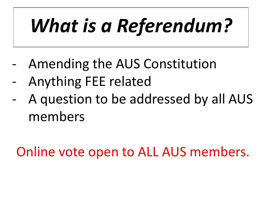# *What is a Referendum?*

- Amending the AUS Constitution
- Anything FEE related
- A question to be addressed by all AUS members

Online vote open to ALL AUS members.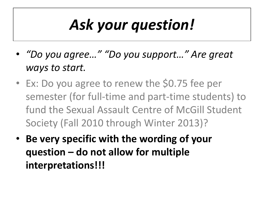### *Ask your question!*

- *"Do you agree…" "Do you support…" Are great ways to start.*
- Ex: Do you agree to renew the \$0.75 fee per semester (for full-time and part-time students) to fund the Sexual Assault Centre of McGill Student Society (Fall 2010 through Winter 2013)?
- **Be very specific with the wording of your question – do not allow for multiple interpretations!!!**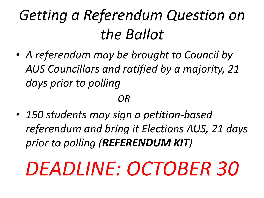#### *Getting a Referendum Question on the Ballot*

• *A referendum may be brought to Council by AUS Councillors and ratified by a majority, 21 days prior to polling* 

*OR* 

• *150 students may sign a petition-based referendum and bring it Elections AUS, 21 days prior to polling (REFERENDUM KIT)*

# *DEADLINE: OCTOBER 30*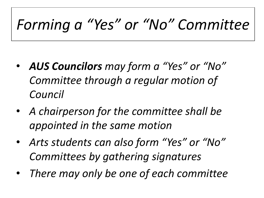#### *Forming a "Yes" or "No" Committee*

- *AUS Councilors may form a "Yes" or "No" Committee through a regular motion of Council*
- *A chairperson for the committee shall be appointed in the same motion*
- *Arts students can also form "Yes" or "No" Committees by gathering signatures*
- *There may only be one of each committee*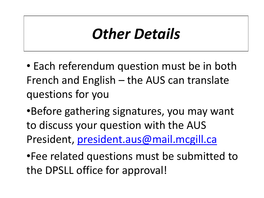#### *Other Details*

• Each referendum question must be in both French and English – the AUS can translate questions for you

•Before gathering signatures, you may want to discuss your question with the AUS President, [president.aus@mail.mcgill.ca](mailto:president.aus@mail.mcgill.ca)

•Fee related questions must be submitted to the DPSLL office for approval!